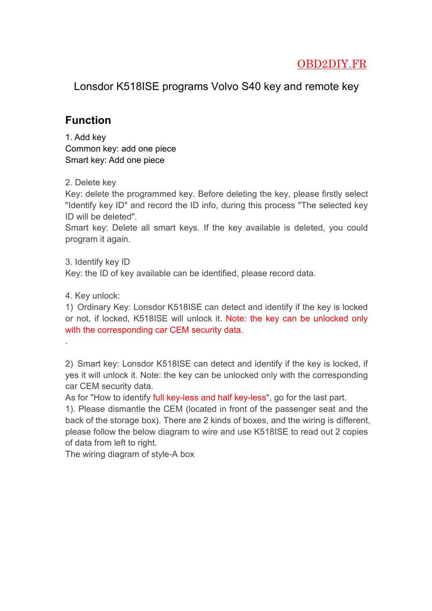## OBD2DIY.FR

Lonsdor K518ISE programs Volvo S40 key and remote key

## **Function**

1. Add key Common key: add one piece Smart key: Add one piece

2. Delete key

Key: delete the programmed key. Before deleting the key, please firstly select "Identify key ID" and record the ID info, during this process "The selected key ID will be deleted".

Smart key: Delete all smart keys. If the key available is deleted, you could program it again.

3. Identify key ID

Key: the ID of key available can be identified, please record data.

4. Key unlock:

1) Ordinary Key: Lonsdor K518ISE can detect and identify if the key is locked or not, if locked, K518ISE will unlock it. Note: the key can be unlocked only with the corresponding car CEM security data.

.2) Smart key: Lonsdor K518ISE can detect and identify if the key is locked, if yes it will unlock it. Note: the key can be unlocked only with the corresponding car CEM security data.

As for "How to identify full key-less and half key-less", go for the last part.

1). Please dismantle the CEM (located in front of the passenger seat and the back of the storage box). There are 2 kinds of boxes, and the wiring is different, please follow the below diagram to wire and use K518ISE to read out 2 copies of data from left to right.

The wiring diagram of style-A box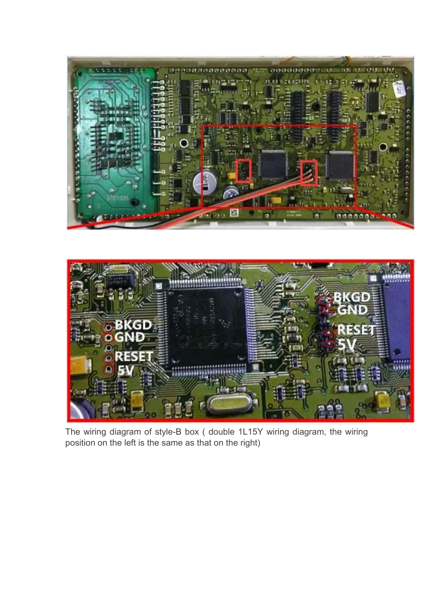



The wiring diagram of style-B box ( double 1L15Y wiring diagram, the wiring position on the left is the same as that on the right)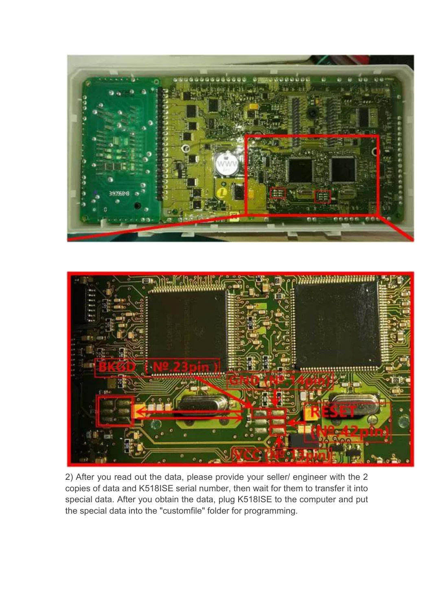



2) After you read out the data, please provide your seller/ engineer with the 2 copies of data and K518ISE serial number, then wait for them to transfer it into special data. After you obtain the data, plug K518ISE to the computer and put the special data into the "customfile" folder for programming.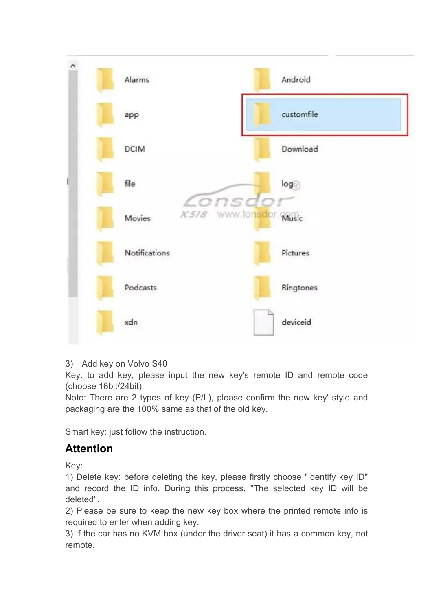

## 3) Add key on Volvo S40

Key: to add key, please input the new key's remote ID and remote code (choose 16bit/24bit).

Note: There are 2 types of key (P/L), please confirm the new key' style and packaging are the 100% same as that of the old key.

Smart key: just follow the instruction.

## **Attention**

Key:

1) Delete key: before deleting the key, please firstly choose "Identify key ID" and record the ID info. During this process, "The selected key ID will be deleted".

2) Please be sure to keep the new key box where the printed remote info is required to enter when adding key.

3) If the car has no KVM box (under the driver seat) it has a common key, not remote.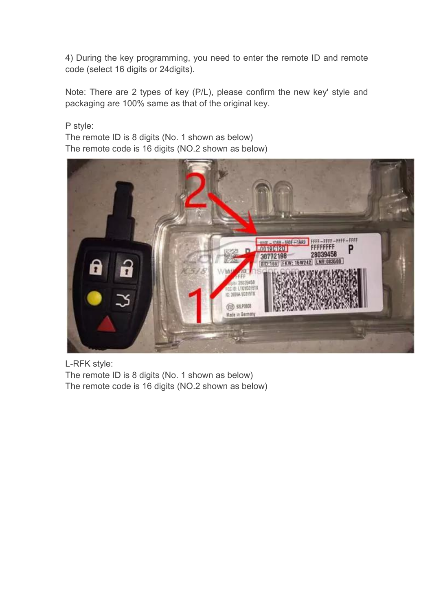4) During the key programming, you need to enter the remote ID and remote code (select 16 digits or 24digits).

Note: There are 2 types of key (P/L), please confirm the new key' style and packaging are 100% same as that of the original key.

P style: The remote ID is 8 digits (No. 1 shown as below)

The remote code is 16 digits (NO.2 shown as below)



L-RFK style:

The remote ID is 8 digits (No. 1 shown as below) The remote code is 16 digits (NO.2 shown as below)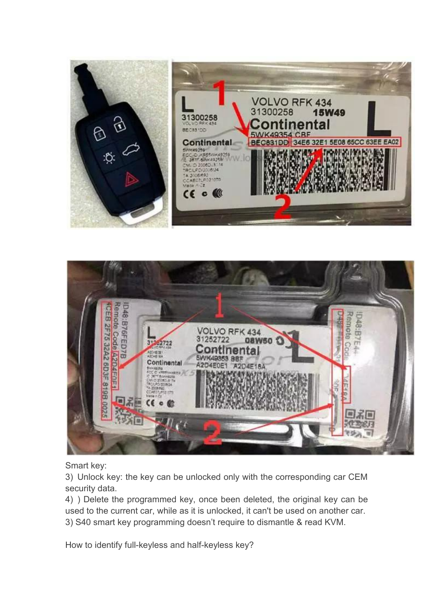



Smart key:

3) Unlock key: the key can be unlocked only with the corresponding car CEM security data.

4) ) Delete the programmed key, once been deleted, the original key can be used to the current car, while as it is unlocked, it can't be used on another car. 3) S40 smart key programming doesn't require to dismantle & read KVM.

How to identify full-keyless and half-keyless key?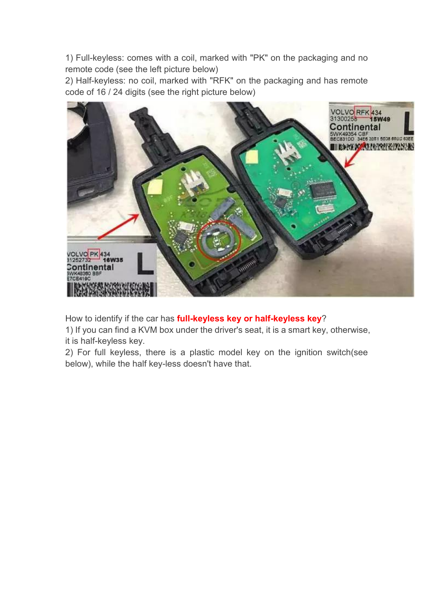1) Full-keyless: comes with a coil, marked with "PK" on the packaging and no remote code (see the left picture below)

2) Half-keyless: no coil, marked with "RFK" on the packaging and has remote code of 16 / 24 digits (see the right picture below)



How to identify if the car has **full-keyless key or half-keyless key**?

1) If you can find a KVM box under the driver's seat, it is a smart key, otherwise, it is half-keyless key.

2) For full keyless, there is a plastic model key on the ignition switch(see below), while the half key-less doesn't have that.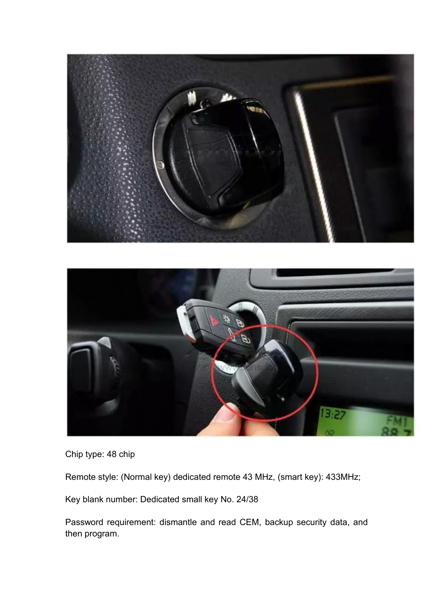



Chip type: 48 chip

Remote style: (Normal key) dedicated remote 43 MHz, (smart key): 433MHz;

Key blank number: Dedicated small key No. 24/38

Password requirement: dismantle and read CEM, backup security data, and then program.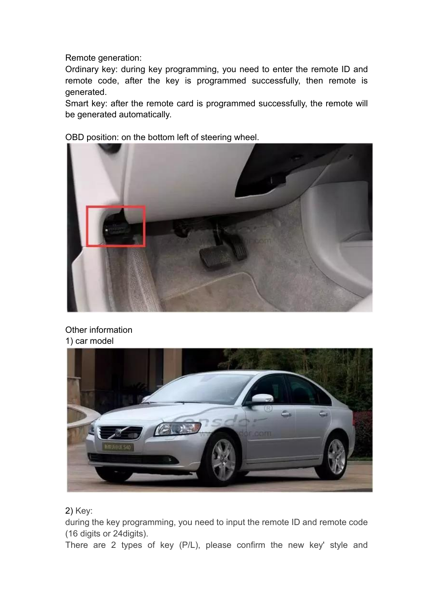Remote generation:

Ordinary key: during key programming, you need to enter the remote ID and remote code, after the key is programmed successfully, then remote is generated.

Smart key: after the remote card is programmed successfully, the remote will be generated automatically.

OBD position: on the bottom left of steering wheel.



Other information 1) car model



2) Key:

during the key programming, you need to input the remote ID and remote code (16 digits or 24digits).

There are 2 types of key (P/L), please confirm the new key' style and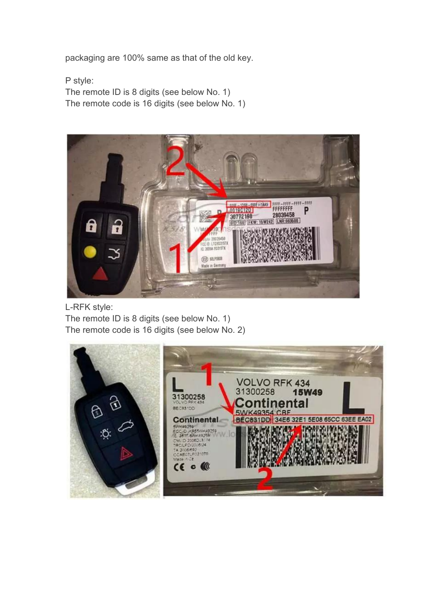packaging are 100% same as that of the old key.

P style: The remote ID is 8 digits (see below No. 1) The remote code is 16 digits (see below No. 1)



L-RFK style: The remote ID is 8 digits (see below No. 1) The remote code is 16 digits (see below No. 2)

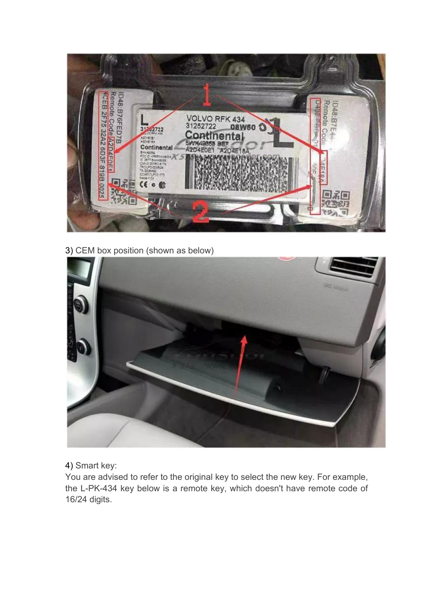

3) CEM box position (shown as below)



4) Smart key:

You are advised to refer to the original key to select the new key. For example, the L-PK-434 key below is a remote key, which doesn't have remote code of 16/24 digits.